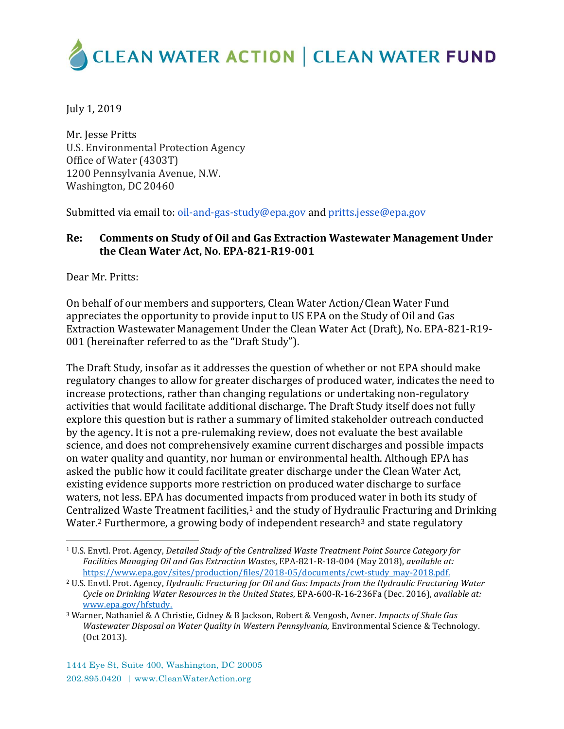# **CLEAN WATER ACTION | CLEAN WATER FUND**

July 1, 2019

Mr. Jesse Pritts U.S. Environmental Protection Agency Office of Water (4303T) 1200 Pennsylvania Avenue, N.W. Washington, DC 20460

Submitted via email to: [oil-and-gas-study@epa.gov](mailto:oil-and-gas-study@epa.gov) an[d pritts.jesse@epa.gov](mailto:pritts.jesse@epa.gov)

#### **Re: Comments on Study of Oil and Gas Extraction Wastewater Management Under the Clean Water Act, No. EPA‐821‐R19‐001**

Dear Mr. Pritts:

On behalf of our members and supporters, Clean Water Action/Clean Water Fund appreciates the opportunity to provide input to US EPA on the Study of Oil and Gas Extraction Wastewater Management Under the Clean Water Act (Draft), No. EPA‐821‐R19‐ 001 (hereinafter referred to as the "Draft Study").

The Draft Study, insofar as it addresses the question of whether or not EPA should make regulatory changes to allow for greater discharges of produced water, indicates the need to increase protections, rather than changing regulations or undertaking non-regulatory activities that would facilitate additional discharge. The Draft Study itself does not fully explore this question but is rather a summary of limited stakeholder outreach conducted by the agency. It is not a pre-rulemaking review, does not evaluate the best available science, and does not comprehensively examine current discharges and possible impacts on water quality and quantity, nor human or environmental health. Although EPA has asked the public how it could facilitate greater discharge under the Clean Water Act, existing evidence supports more restriction on produced water discharge to surface waters, not less. EPA has documented impacts from produced water in both its study of Centralized Waste Treatment facilities, $1$  and the study of Hydraulic Fracturing and Drinking Water.<sup>2</sup> Furthermore, a growing body of independent research<sup>3</sup> and state regulatory

l <sup>1</sup> U.S. Envtl. Prot. Agency, *Detailed Study of the Centralized Waste Treatment Point Source Category for Facilities Managing Oil and Gas Extraction Wastes*, EPA-821-R-18-004 (May 2018), *available at:* [https://www.epa.gov/sites/production/files/2018-05/documents/cwt-study\\_may-2018.pdf.](https://www.epa.gov/sites/production/files/2018-05/documents/cwt-study_may-2018.pdf)

<sup>2</sup> U.S. Envtl. Prot. Agency, *Hydraulic Fracturing for Oil and Gas: Impacts from the Hydraulic Fracturing Water Cycle on Drinking Water Resources in the United States*, EPA-600-R-16-236Fa (Dec. 2016), *available at:* [www.epa.gov/hfstudy.](http://www.epa.gov/hfstudy)

<sup>3</sup> Warner, Nathaniel & A Christie, Cidney & B Jackson, Robert & Vengosh, Avner. *Impacts of Shale Gas Wastewater Disposal on Water Quality in Western Pennsylvania,* Environmental Science & Technology. (Oct 2013).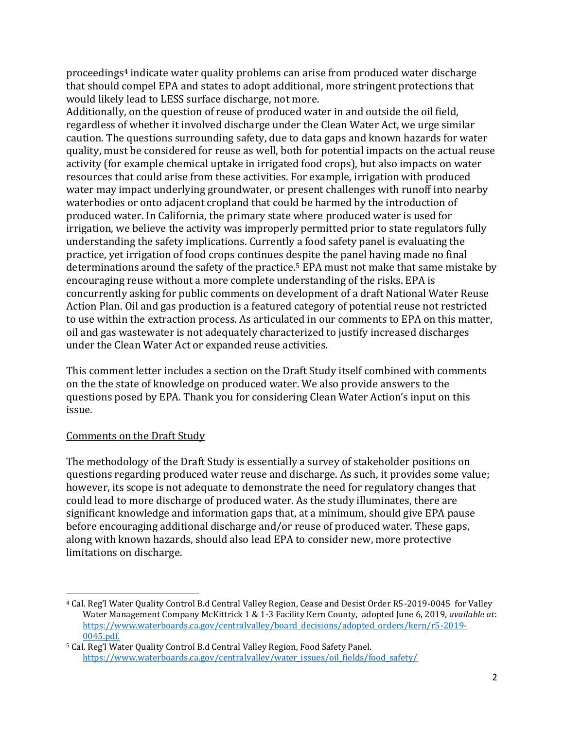proceedings<sup>4</sup> indicate water quality problems can arise from produced water discharge that should compel EPA and states to adopt additional, more stringent protections that would likely lead to LESS surface discharge, not more.

Additionally, on the question of reuse of produced water in and outside the oil field, regardless of whether it involved discharge under the Clean Water Act, we urge similar caution. The questions surrounding safety, due to data gaps and known hazards for water quality, must be considered for reuse as well, both for potential impacts on the actual reuse activity (for example chemical uptake in irrigated food crops), but also impacts on water resources that could arise from these activities. For example, irrigation with produced water may impact underlying groundwater, or present challenges with runoff into nearby waterbodies or onto adjacent cropland that could be harmed by the introduction of produced water. In California, the primary state where produced water is used for irrigation, we believe the activity was improperly permitted prior to state regulators fully understanding the safety implications. Currently a food safety panel is evaluating the practice, yet irrigation of food crops continues despite the panel having made no final determinations around the safety of the practice.<sup>5</sup> EPA must not make that same mistake by encouraging reuse without a more complete understanding of the risks. EPA is concurrently asking for public comments on development of a draft National Water Reuse Action Plan. Oil and gas production is a featured category of potential reuse not restricted to use within the extraction process. As articulated in our comments to EPA on this matter, oil and gas wastewater is not adequately characterized to justify increased discharges under the Clean Water Act or expanded reuse activities.

This comment letter includes a section on the Draft Study itself combined with comments on the the state of knowledge on produced water. We also provide answers to the questions posed by EPA. Thank you for considering Clean Water Action's input on this issue.

#### Comments on the Draft Study

 $\overline{a}$ 

The methodology of the Draft Study is essentially a survey of stakeholder positions on questions regarding produced water reuse and discharge. As such, it provides some value; however, its scope is not adequate to demonstrate the need for regulatory changes that could lead to more discharge of produced water. As the study illuminates, there are significant knowledge and information gaps that, at a minimum, should give EPA pause before encouraging additional discharge and/or reuse of produced water. These gaps, along with known hazards, should also lead EPA to consider new, more protective limitations on discharge.

<sup>4</sup> Cal. Reg'l Water Quality Control B.d Central Valley Region, Cease and Desist Order R5-2019-0045 for Valley Water Management Company McKittrick 1 & 1-3 Facility Kern County, adopted June 6, 2019, *available at*: [https://www.waterboards.ca.gov/centralvalley/board\\_decisions/adopted\\_orders/kern/r5-2019-](https://www.waterboards.ca.gov/centralvalley/board_decisions/adopted_orders/kern/r5-2019-0045.pdf) [0045.pdf.](https://www.waterboards.ca.gov/centralvalley/board_decisions/adopted_orders/kern/r5-2019-0045.pdf)

<sup>5</sup> Cal. Reg'l Water Quality Control B.d Central Valley Region, Food Safety Panel. [https://www.waterboards.ca.gov/centralvalley/water\\_issues/oil\\_fields/food\\_safety/](https://www.waterboards.ca.gov/centralvalley/water_issues/oil_fields/food_safety/)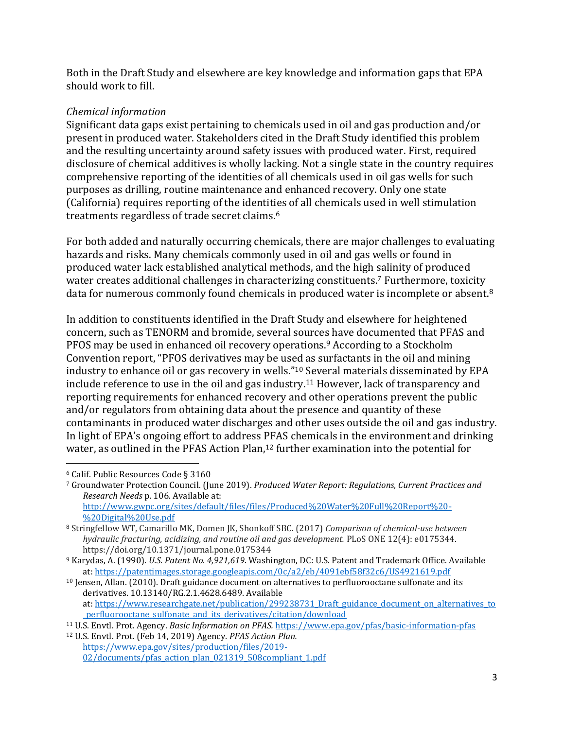Both in the Draft Study and elsewhere are key knowledge and information gaps that EPA should work to fill.

### *Chemical information*

Significant data gaps exist pertaining to chemicals used in oil and gas production and/or present in produced water. Stakeholders cited in the Draft Study identified this problem and the resulting uncertainty around safety issues with produced water. First, required disclosure of chemical additives is wholly lacking. Not a single state in the country requires comprehensive reporting of the identities of all chemicals used in oil gas wells for such purposes as drilling, routine maintenance and enhanced recovery. Only one state (California) requires reporting of the identities of all chemicals used in well stimulation treatments regardless of trade secret claims.<sup>6</sup>

For both added and naturally occurring chemicals, there are major challenges to evaluating hazards and risks. Many chemicals commonly used in oil and gas wells or found in produced water lack established analytical methods, and the high salinity of produced water creates additional challenges in characterizing constituents.<sup>7</sup> Furthermore, toxicity data for numerous commonly found chemicals in produced water is incomplete or absent.<sup>8</sup>

In addition to constituents identified in the Draft Study and elsewhere for heightened concern, such as TENORM and bromide, several sources have documented that PFAS and PFOS may be used in enhanced oil recovery operations.<sup>9</sup> According to a Stockholm Convention report, "PFOS derivatives may be used as surfactants in the oil and mining industry to enhance oil or gas recovery in wells."<sup>10</sup> Several materials disseminated by EPA include reference to use in the oil and gas industry.<sup>11</sup> However, lack of transparency and reporting requirements for enhanced recovery and other operations prevent the public and/or regulators from obtaining data about the presence and quantity of these contaminants in produced water discharges and other uses outside the oil and gas industry. In light of EPA's ongoing effort to address PFAS chemicals in the environment and drinking water, as outlined in the PFAS Action Plan,<sup>12</sup> further examination into the potential for

 $\overline{\phantom{a}}$ <sup>6</sup> Calif. Public Resources Code § 3160

<sup>7</sup> Groundwater Protection Council. (June 2019). *Produced Water Report: Regulations, Current Practices and Research Needs* p. 106. Available at: [http://www.gwpc.org/sites/default/files/files/Produced%20Water%20Full%20Report%20-](http://www.gwpc.org/sites/default/files/files/Produced%20Water%20Full%20Report%20-%20Digital%20Use.pdf) [%20Digital%20Use.pdf](http://www.gwpc.org/sites/default/files/files/Produced%20Water%20Full%20Report%20-%20Digital%20Use.pdf)

<sup>8</sup> Stringfellow WT, Camarillo MK, Domen JK, Shonkoff SBC. (2017) *Comparison of chemical-use between hydraulic fracturing, acidizing, and routine oil and gas development.* PLoS ONE 12(4): e0175344. https://doi.org/10.1371/journal.pone.0175344

<sup>9</sup> Karydas, A. (1990). *U.S. Patent No. 4,921,619*. Washington, DC: U.S. Patent and Trademark Office. Available at: <https://patentimages.storage.googleapis.com/0c/a2/eb/4091ebf58f32c6/US4921619.pdf>

<sup>&</sup>lt;sup>10</sup> Jensen, Allan. (2010). Draft guidance document on alternatives to perfluorooctane sulfonate and its derivatives. 10.13140/RG.2.1.4628.6489. Available at: [https://www.researchgate.net/publication/299238731\\_Draft\\_guidance\\_document\\_on\\_alternatives\\_to](https://www.researchgate.net/publication/299238731_Draft_guidance_document_on_alternatives_to_perfluorooctane_sulfonate_and_its_derivatives/citation/download) perfluorooctane sulfonate and its derivatives/citation/download

<sup>11</sup> U.S. Envtl. Prot. Agency. *Basic Information on PFAS.* <https://www.epa.gov/pfas/basic-information-pfas>

<sup>12</sup> U.S. Envtl. Prot. (Feb 14, 2019) Agency. *PFAS Action Plan.* [https://www.epa.gov/sites/production/files/2019-](https://www.epa.gov/sites/production/files/2019-02/documents/pfas_action_plan_021319_508compliant_1.pdf) [02/documents/pfas\\_action\\_plan\\_021319\\_508compliant\\_1.pdf](https://www.epa.gov/sites/production/files/2019-02/documents/pfas_action_plan_021319_508compliant_1.pdf)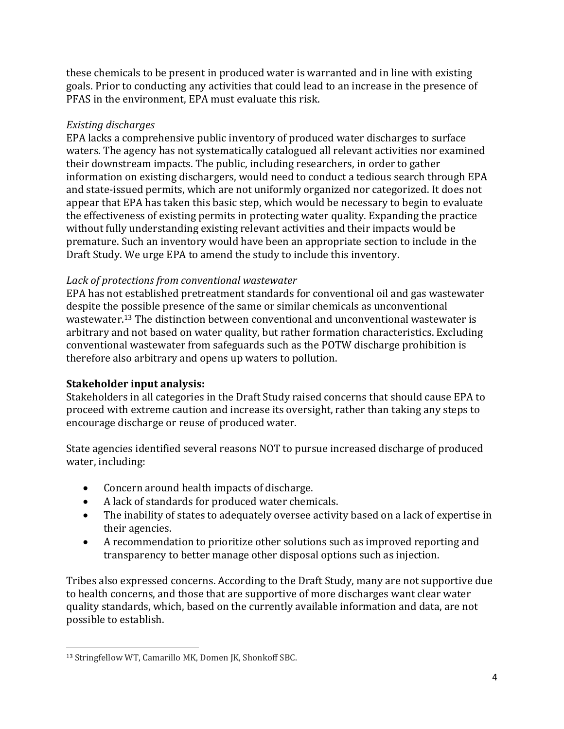these chemicals to be present in produced water is warranted and in line with existing goals. Prior to conducting any activities that could lead to an increase in the presence of PFAS in the environment, EPA must evaluate this risk.

#### *Existing discharges*

EPA lacks a comprehensive public inventory of produced water discharges to surface waters. The agency has not systematically catalogued all relevant activities nor examined their downstream impacts. The public, including researchers, in order to gather information on existing dischargers, would need to conduct a tedious search through EPA and state-issued permits, which are not uniformly organized nor categorized. It does not appear that EPA has taken this basic step, which would be necessary to begin to evaluate the effectiveness of existing permits in protecting water quality. Expanding the practice without fully understanding existing relevant activities and their impacts would be premature. Such an inventory would have been an appropriate section to include in the Draft Study. We urge EPA to amend the study to include this inventory.

#### *Lack of protections from conventional wastewater*

EPA has not established pretreatment standards for conventional oil and gas wastewater despite the possible presence of the same or similar chemicals as unconventional wastewater.<sup>13</sup> The distinction between conventional and unconventional wastewater is arbitrary and not based on water quality, but rather formation characteristics. Excluding conventional wastewater from safeguards such as the POTW discharge prohibition is therefore also arbitrary and opens up waters to pollution.

### **Stakeholder input analysis:**

Stakeholders in all categories in the Draft Study raised concerns that should cause EPA to proceed with extreme caution and increase its oversight, rather than taking any steps to encourage discharge or reuse of produced water.

State agencies identified several reasons NOT to pursue increased discharge of produced water, including:

- Concern around health impacts of discharge.
- A lack of standards for produced water chemicals.
- The inability of states to adequately oversee activity based on a lack of expertise in their agencies.
- A recommendation to prioritize other solutions such as improved reporting and transparency to better manage other disposal options such as injection.

Tribes also expressed concerns. According to the Draft Study, many are not supportive due to health concerns, and those that are supportive of more discharges want clear water quality standards, which, based on the currently available information and data, are not possible to establish.

 $\overline{a}$ <sup>13</sup> Stringfellow WT, Camarillo MK, Domen JK, Shonkoff SBC.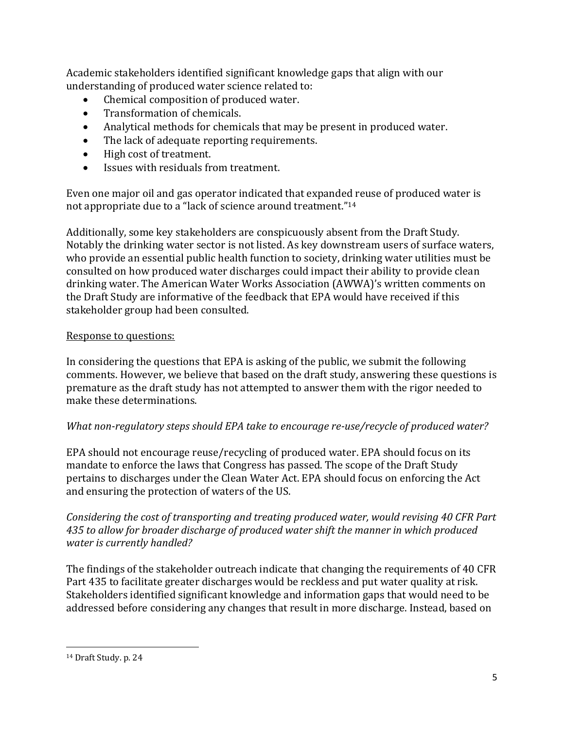Academic stakeholders identified significant knowledge gaps that align with our understanding of produced water science related to:

- Chemical composition of produced water.
- Transformation of chemicals.
- Analytical methods for chemicals that may be present in produced water.
- The lack of adequate reporting requirements.
- High cost of treatment.
- Issues with residuals from treatment.

Even one major oil and gas operator indicated that expanded reuse of produced water is not appropriate due to a "lack of science around treatment."<sup>14</sup>

Additionally, some key stakeholders are conspicuously absent from the Draft Study. Notably the drinking water sector is not listed. As key downstream users of surface waters, who provide an essential public health function to society, drinking water utilities must be consulted on how produced water discharges could impact their ability to provide clean drinking water. The American Water Works Association (AWWA)'s written comments on the Draft Study are informative of the feedback that EPA would have received if this stakeholder group had been consulted.

## Response to questions:

In considering the questions that EPA is asking of the public, we submit the following comments. However, we believe that based on the draft study, answering these questions is premature as the draft study has not attempted to answer them with the rigor needed to make these determinations.

## *What non-regulatory steps should EPA take to encourage re-use/recycle of produced water?*

EPA should not encourage reuse/recycling of produced water. EPA should focus on its mandate to enforce the laws that Congress has passed. The scope of the Draft Study pertains to discharges under the Clean Water Act. EPA should focus on enforcing the Act and ensuring the protection of waters of the US.

*Considering the cost of transporting and treating produced water, would revising 40 CFR Part 435 to allow for broader discharge of produced water shift the manner in which produced water is currently handled?*

The findings of the stakeholder outreach indicate that changing the requirements of 40 CFR Part 435 to facilitate greater discharges would be reckless and put water quality at risk. Stakeholders identified significant knowledge and information gaps that would need to be addressed before considering any changes that result in more discharge. Instead, based on

 $\overline{a}$ <sup>14</sup> Draft Study. p. 24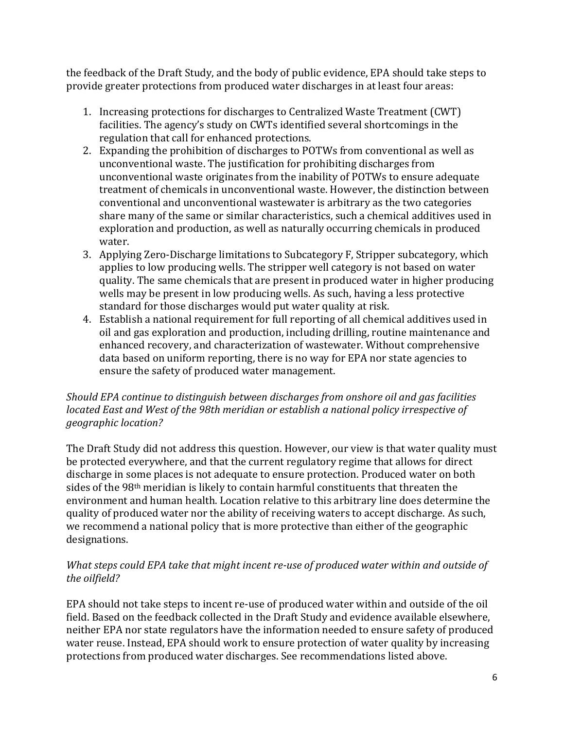the feedback of the Draft Study, and the body of public evidence, EPA should take steps to provide greater protections from produced water discharges in at least four areas:

- 1. Increasing protections for discharges to Centralized Waste Treatment (CWT) facilities. The agency's study on CWTs identified several shortcomings in the regulation that call for enhanced protections.
- 2. Expanding the prohibition of discharges to POTWs from conventional as well as unconventional waste. The justification for prohibiting discharges from unconventional waste originates from the inability of POTWs to ensure adequate treatment of chemicals in unconventional waste. However, the distinction between conventional and unconventional wastewater is arbitrary as the two categories share many of the same or similar characteristics, such a chemical additives used in exploration and production, as well as naturally occurring chemicals in produced water.
- 3. Applying Zero-Discharge limitations to Subcategory F, Stripper subcategory, which applies to low producing wells. The stripper well category is not based on water quality. The same chemicals that are present in produced water in higher producing wells may be present in low producing wells. As such, having a less protective standard for those discharges would put water quality at risk.
- 4. Establish a national requirement for full reporting of all chemical additives used in oil and gas exploration and production, including drilling, routine maintenance and enhanced recovery, and characterization of wastewater. Without comprehensive data based on uniform reporting, there is no way for EPA nor state agencies to ensure the safety of produced water management.

### *Should EPA continue to distinguish between discharges from onshore oil and gas facilities located East and West of the 98th meridian or establish a national policy irrespective of geographic location?*

The Draft Study did not address this question. However, our view is that water quality must be protected everywhere, and that the current regulatory regime that allows for direct discharge in some places is not adequate to ensure protection. Produced water on both sides of the 98th meridian is likely to contain harmful constituents that threaten the environment and human health. Location relative to this arbitrary line does determine the quality of produced water nor the ability of receiving waters to accept discharge. As such, we recommend a national policy that is more protective than either of the geographic designations.

### *What steps could EPA take that might incent re-use of produced water within and outside of the oilfield?*

EPA should not take steps to incent re-use of produced water within and outside of the oil field. Based on the feedback collected in the Draft Study and evidence available elsewhere, neither EPA nor state regulators have the information needed to ensure safety of produced water reuse. Instead, EPA should work to ensure protection of water quality by increasing protections from produced water discharges. See recommendations listed above.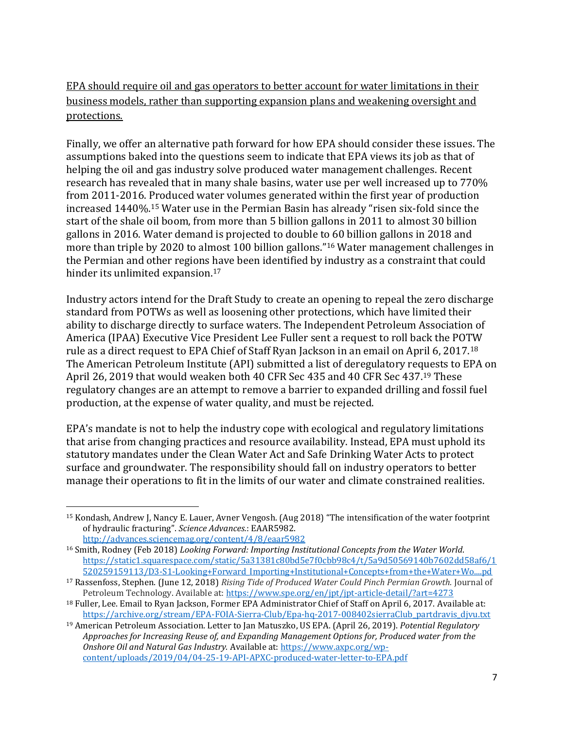EPA should require oil and gas operators to better account for water limitations in their business models, rather than supporting expansion plans and weakening oversight and protections.

Finally, we offer an alternative path forward for how EPA should consider these issues. The assumptions baked into the questions seem to indicate that EPA views its job as that of helping the oil and gas industry solve produced water management challenges. Recent research has revealed that in many shale basins, water use per well increased up to 770% from 2011-2016. Produced water volumes generated within the first year of production increased 1440%.<sup>15</sup> Water use in the Permian Basin has already "risen six-fold since the start of the shale oil boom, from more than 5 billion gallons in 2011 to almost 30 billion gallons in 2016. Water demand is projected to double to 60 billion gallons in 2018 and more than triple by 2020 to almost 100 billion gallons."<sup>16</sup> Water management challenges in the Permian and other regions have been identified by industry as a constraint that could hinder its unlimited expansion.<sup>17</sup>

Industry actors intend for the Draft Study to create an opening to repeal the zero discharge standard from POTWs as well as loosening other protections, which have limited their ability to discharge directly to surface waters. The Independent Petroleum Association of America (IPAA) Executive Vice President Lee Fuller sent a request to roll back the POTW rule as a direct request to EPA Chief of Staff Ryan Jackson in an email on April 6, 2017.<sup>18</sup> The American Petroleum Institute (API) submitted a list of deregulatory requests to EPA on April 26, 2019 that would weaken both 40 CFR Sec 435 and 40 CFR Sec 437.<sup>19</sup> These regulatory changes are an attempt to remove a barrier to expanded drilling and fossil fuel production, at the expense of water quality, and must be rejected.

EPA's mandate is not to help the industry cope with ecological and regulatory limitations that arise from changing practices and resource availability. Instead, EPA must uphold its statutory mandates under the Clean Water Act and Safe Drinking Water Acts to protect surface and groundwater. The responsibility should fall on industry operators to better manage their operations to fit in the limits of our water and climate constrained realities.

 $\overline{\phantom{a}}$ <sup>15</sup> Kondash, Andrew J, Nancy E. Lauer, Avner Vengosh. (Aug 2018) "The intensification of the water footprint of hydraulic fracturing". *Science Advances.*: EAAR5982. <http://advances.sciencemag.org/content/4/8/eaar5982>

<sup>16</sup> Smith, Rodney (Feb 2018) *Looking Forward: Importing Institutional Concepts from the Water World*. [https://static1.squarespace.com/static/5a31381c80bd5e7f0cbb98c4/t/5a9d50569140b7602dd58af6/1](https://static1.squarespace.com/static/5a31381c80bd5e7f0cbb98c4/t/5a9d50569140b7602dd58af6/1520259159113/D3-S1-Looking+Forward_Importing+Institutional+Concepts+from+the+Water+Wo....pd) [520259159113/D3-S1-Looking+Forward\\_Importing+Institutional+Concepts+from+the+Water+Wo....pd](https://static1.squarespace.com/static/5a31381c80bd5e7f0cbb98c4/t/5a9d50569140b7602dd58af6/1520259159113/D3-S1-Looking+Forward_Importing+Institutional+Concepts+from+the+Water+Wo....pd)

<sup>17</sup> Rassenfoss, Stephen. (June 12, 2018) *Rising Tide of Produced Water Could Pinch Permian Growth.* Journal of Petroleum Technology. Available at:<https://www.spe.org/en/jpt/jpt-article-detail/?art=4273>

<sup>18</sup> Fuller, Lee. Email to Ryan Jackson, Former EPA Administrator Chief of Staff on April 6, 2017. Available at: [https://archive.org/stream/EPA-FOIA-Sierra-Club/Epa-hq-2017-008402sierraClub\\_partdravis\\_djvu.txt](https://archive.org/stream/EPA-FOIA-Sierra-Club/Epa-hq-2017-008402sierraClub_partdravis_djvu.txt)

<sup>19</sup> American Petroleum Association. Letter to Jan Matuszko, US EPA. (April 26, 2019). *Potential Regulatory Approaches for Increasing Reuse of, and Expanding Management Options for, Produced water from the Onshore Oil and Natural Gas Industry.* Available at[: https://www.axpc.org/wp](https://www.axpc.org/wp-content/uploads/2019/04/04-25-19-API-APXC-produced-water-letter-to-EPA.pdf)[content/uploads/2019/04/04-25-19-API-APXC-produced-water-letter-to-EPA.pdf](https://www.axpc.org/wp-content/uploads/2019/04/04-25-19-API-APXC-produced-water-letter-to-EPA.pdf)